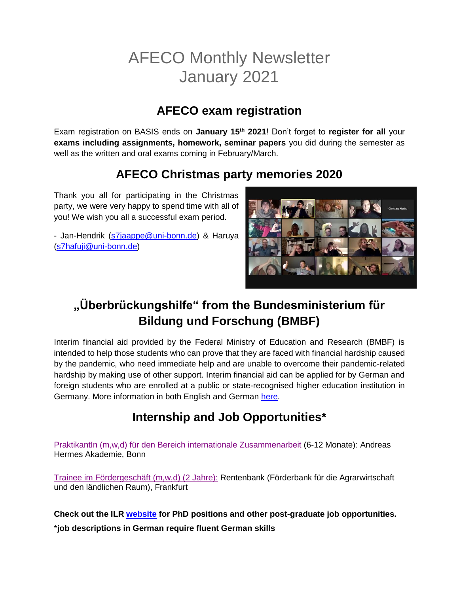# AFECO Monthly Newsletter January 2021

#### **AFECO exam registration**

Exam registration on BASIS ends on **January 15th 2021**! Don't forget to **register for all** your **exams including assignments, homework, seminar papers** you did during the semester as well as the written and oral exams coming in February/March.

### **AFECO Christmas party memories 2020**

Thank you all for participating in the Christmas party, we were very happy to spend time with all of you! We wish you all a successful exam period.

- Jan-Hendrik [\(s7jaappe@uni-bonn.de\)](mailto:s7jaappe@uni-bonn.de) & Haruya [\(s7hafuji@uni-bonn.de\)](mailto:s7hafuji@uni-bonn.de)



## **"Überbrückungshilfe" from the Bundesministerium für Bildung und Forschung (BMBF)**

Interim financial aid provided by the Federal Ministry of Education and Research (BMBF) is intended to help those students who can prove that they are faced with financial hardship caused by the pandemic, who need immediate help and are unable to overcome their pandemic-related hardship by making use of other support. Interim financial aid can be applied for by German and foreign students who are enrolled at a public or state-recognised higher education institution in Germany. More information in both English and German [here.](https://www.überbrückungshilfe-studierende.de/start)

# **Internship and Job Opportunities\***

Praktikantln (m,w,d) für den Bereich internationale Zusammenarbeit (6-12 Monate): Andreas Hermes Akademie, Bonn

[Trainee im Fördergeschäft \(m,w,d\) \(2 Jahre\):](https://www.rentenbank.de/ueber-uns/stellenangebote/) Rentenbank (Förderbank für die Agrarwirtschaft und den ländlichen Raum), Frankfurt

**Check out the ILR [website](https://www.ilr1.uni-bonn.de/de/jobs/stellenanzeigen) for PhD positions and other post-graduate job opportunities.** \***job descriptions in German require fluent German skills**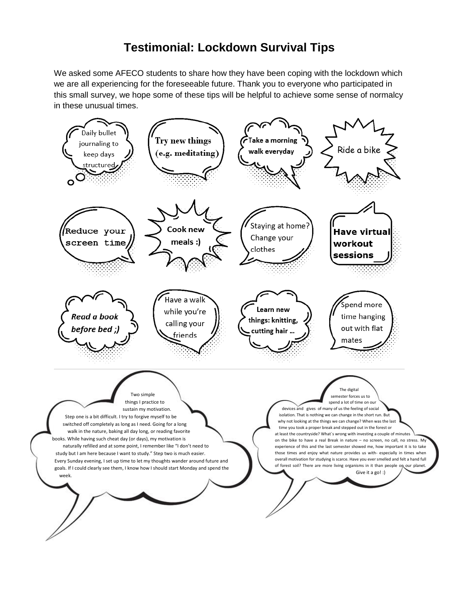#### **Testimonial: Lockdown Survival Tips**

We asked some AFECO students to share how they have been coping with the lockdown which we are all experiencing for the foreseeable future. Thank you to everyone who participated in this small survey, we hope some of these tips will be helpful to achieve some sense of normalcy in these unusual times.